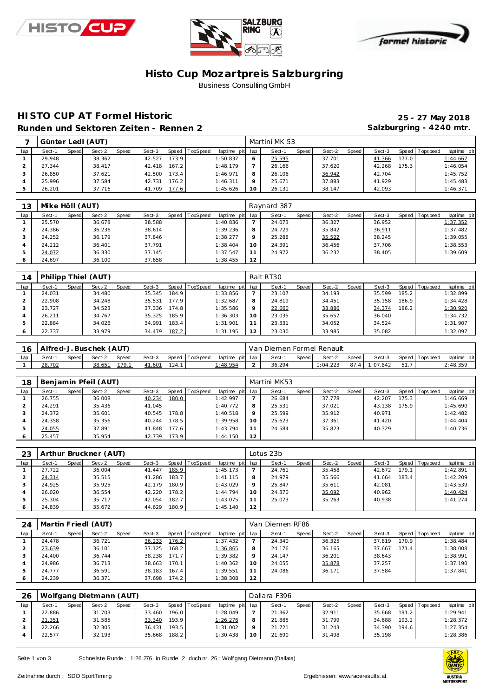





#### **Histo Cup Mozartpre is Salzburgring** Business Consulting GmbH

#### **HISTO CUP AT Formel Historic 25 - 27 May 2018** Runden und Sektoren Zeiten - Rennen 2 **Salzburgring - 4240 mtr.**

| -   | Günter Ledl (AUT) |       |        |       |        |       |                |                 | Martini MK 53 |       |        |       |        |       |                |             |
|-----|-------------------|-------|--------|-------|--------|-------|----------------|-----------------|---------------|-------|--------|-------|--------|-------|----------------|-------------|
| lap | Sect-1            | Speed | Sect-2 | Speed | Sect-3 |       | Speed TopSpeed | laptime pit lap | Sect-1        | Speed | Sect-2 | Speed | Sect-3 |       | Speed Topspeed | laptime pit |
|     | 29.948            |       | 38.362 |       | 42.527 | 173.9 |                | 1:50.837        | 25.595        |       | 37.701 |       | 41.366 | 177.0 |                | 1:44.662    |
|     | 27.344            |       | 38.417 |       | 42.418 | 167.2 |                | 1:48.179        | 26.166        |       | 37.620 |       | 42.268 | 175.3 |                | 1:46.054    |
|     | 26.850            |       | 37.621 |       | 42.500 | 173.4 |                | 1:46.971        | 26.106        |       | 36.942 |       | 42.704 |       |                | 1:45.752    |
| 4   | 25.996            |       | 37.584 |       | 42.731 | 176.2 |                | 1:46.311        | 25.671        |       | 37.883 |       | 41.929 |       |                | 1:45.483    |
| 5   | 26.201            |       | 37.716 |       | 41.709 | 177.6 |                | 1:45.626        | 26.131        |       | 38.147 |       | 42.093 |       |                | 1:46.371    |

| 13  | Mike Höll (AUT) |       |        |       |        |                |                 |         | Raynard 387 |       |        |       |        |                |             |
|-----|-----------------|-------|--------|-------|--------|----------------|-----------------|---------|-------------|-------|--------|-------|--------|----------------|-------------|
| lap | Sect-1          | Speed | Sect-2 | Speed | Sect-3 | Speed TopSpeed | laptime pit lap |         | Sect-1      | Speed | Sect-2 | Speed | Sect-3 | Speed Topspeed | laptime pit |
|     | 25.570          |       | 36.678 |       | 38.588 |                | 1:40.836        |         | 24.073      |       | 36.327 |       | 36.952 |                | 1:37.352    |
|     | 24.386          |       | 36.236 |       | 38.614 |                | 1:39.236        | 8       | 24.729      |       | 35.842 |       | 36.911 |                | 1:37.482    |
|     | 24.252          |       | 36.179 |       | 37.846 |                | 1:38.277        | $\circ$ | 25.288      |       | 35.522 |       | 38.245 |                | 1:39.055    |
|     | 24.212          |       | 36.401 |       | 37.791 |                | 1:38.404        | 10      | 24.391      |       | 36.456 |       | 37.706 |                | 1:38.553    |
|     | 24.072          |       | 36.330 |       | 37.145 |                | 1:37.547        |         | 24.972      |       | 36.232 |       | 38.405 |                | 1:39.609    |
|     | 24.697          |       | 36.100 |       | 37.658 |                | 1:38.455        | 12      |             |       |        |       |        |                |             |

| 14  |        |       | Philipp Thiel (AUT) |       |        |                    |                |                 |                 | Ralt RT30 |       |        |       |        |       |                |             |
|-----|--------|-------|---------------------|-------|--------|--------------------|----------------|-----------------|-----------------|-----------|-------|--------|-------|--------|-------|----------------|-------------|
| lap | Sect-1 | Speed | Sect-2              | Speed | Sect-3 |                    | Speed TopSpeed | laptime pit lap |                 | Sect-1    | Speed | Sect-2 | Speed | Sect-3 |       | Speed Topspeed | laptime pit |
|     | 24.031 |       | 34.480              |       | 35.345 | 184.9 <sub>1</sub> |                | 1:33.856        |                 | 23.107    |       | 34.193 |       | 35.599 | 185.2 |                | 1:32.899    |
|     | 22.908 |       | 34.248              |       | 35.531 | 177.9              |                | 1:32.687        | 8               | 24.819    |       | 34.451 |       | 35.158 | 186.9 |                | 1:34.428    |
|     | 23.727 |       | 34.523              |       | 37.336 | 174.8              |                | 1:35.586        | 9               | 22.660    |       | 33.886 |       | 34.374 | 186.2 |                | 1:30.920    |
|     | 26.211 |       | 34.767              |       | 35.325 | 185.9              |                | 1:36.303        | 10 <sup>°</sup> | 23.035    |       | 35.657 |       | 36.040 |       |                | 1:34.732    |
|     | 22.884 |       | 34.026              |       | 34.991 | 183.4              |                | 1:31.901        |                 | 23.331    |       | 34.052 |       | 34.524 |       |                | 1:31.907    |
|     | 22.737 |       | 33.979              |       | 34.479 | 187.2              |                | 1:31.195        | 12              | 23.030    |       | 33.985 |       | 35.082 |       |                | 1:32.097    |

| 16  | Alfred-J. Buschek (AUT) |       |        |       |        |       |                |                 | Van Diemen Formel Renault |       |          |         |         |                 |             |
|-----|-------------------------|-------|--------|-------|--------|-------|----------------|-----------------|---------------------------|-------|----------|---------|---------|-----------------|-------------|
| lap | Sect-1                  | Speed | Sect-2 | Speed | Sect-3 |       | Speed TopSpeed | laptime pit lap | Sect-1                    | Speed | Sect-2   | Speed I | Sect-3  | Speed Tops peed | laptime pit |
|     | 28.702                  |       | 38.651 | 79    | 41.601 | 124.1 |                | 1.48.954        | 36.294                    |       | : 04.223 | 87.4    | :07.842 |                 | 2:48.359    |

| 18  |        |       | Benjamin Pfeil (AUT) |       |        |       |                |             |     | Martini MK53 |       |        |       |        |                    |                 |             |
|-----|--------|-------|----------------------|-------|--------|-------|----------------|-------------|-----|--------------|-------|--------|-------|--------|--------------------|-----------------|-------------|
| lap | Sect-1 | Speed | Sect-2               | Speed | Sect-3 |       | Speed TopSpeed | laptime pit | lap | Sect-1       | Speed | Sect-2 | Speed | Sect-3 |                    | Speed Tops peed | laptime pit |
|     | 26.755 |       | 36.008               |       | 40.234 | 180.0 |                | 1:42.997    |     | 26.684       |       | 37.778 |       | 42.207 | 175.3 <sub>1</sub> |                 | 1:46.669    |
|     | 24.291 |       | 35.436               |       | 41.045 |       |                | 1:40.772    | 8   | 25.531       |       | 37.021 |       | 43.138 | 175.9              |                 | 1:45.690    |
|     | 24.372 |       | 35.601               |       | 40.545 | 178.8 |                | 1:40.518    | 9   | 25.599       |       | 35.912 |       | 40.971 |                    |                 | 1:42.482    |
|     | 24.358 |       | 35.356               |       | 40.244 | 178.5 |                | 1:39.958    | 10  | 25.623       |       | 37.361 |       | 41.420 |                    |                 | 1:44.404    |
| 5   | 24.055 |       | 37.891               |       | 41.848 | 177.6 |                | 1:43.794    | 11  | 24.584       |       | 35.823 |       | 40.329 |                    |                 | 1:40.736    |
| 6   | 25.457 |       | 35.954               |       | 42.739 | 173.9 |                | 1:44.150    | 12  |              |       |        |       |        |                    |                 |             |

| 23  |        |       | Arthur Bruckner (AUT) |       |        |       |          |                 |         | Lotus 23b |       |        |       |        |       |                |             |
|-----|--------|-------|-----------------------|-------|--------|-------|----------|-----------------|---------|-----------|-------|--------|-------|--------|-------|----------------|-------------|
| lap | Sect-1 | Speed | Sect-2                | Speed | Sect-3 | Speed | TopSpeed | laptime pit lap |         | Sect-1    | Speed | Sect-2 | Speed | Sect-3 |       | Speed Topspeed | laptime pit |
|     | 27.722 |       | 36.004                |       | 41.447 | 185.9 |          | 1:45.173        |         | 24.761    |       | 35.458 |       | 42.672 | 179.1 |                | 1:42.891    |
|     | 24.314 |       | 35.515                |       | 41.286 | 183.7 |          | 1:41.115        | 8       | 24.979    |       | 35.566 |       | 41.664 | 183.4 |                | 1:42.209    |
| 3   | 24.925 |       | 35.925                |       | 42.179 | 180.9 |          | 1:43.029        | $\circ$ | 25.847    |       | 35.611 |       | 42.081 |       |                | 1:43.539    |
|     | 26.020 |       | 36.554                |       | 42.220 | 178.2 |          | 1:44.794        | 10      | 24.370    |       | 35.092 |       | 40.962 |       |                | 1:40.424    |
| ь   | 25.304 |       | 35.717                |       | 42.054 | 182.7 |          | 1:43.075        |         | 25.073    |       | 35.263 |       | 40.938 |       |                | 1:41.274    |
|     | 24.839 |       | 35.672                |       | 44.629 | 180.9 |          | 1:45.140        | 12      |           |       |        |       |        |       |                |             |

| 24  |        |       | Martin Friedl (AUT) |       |        |       |                |             |             | Van Diemen RF86 |       |        |       |        |       |                 |             |
|-----|--------|-------|---------------------|-------|--------|-------|----------------|-------------|-------------|-----------------|-------|--------|-------|--------|-------|-----------------|-------------|
| lap | Sect-1 | Speed | Sect-2              | Speed | Sect-3 |       | Speed TopSpeed | laptime pit | lap         | Sect-1          | Speed | Sect-2 | Speed | Sect-3 |       | Speed Tops peed | laptime pit |
|     | 24.478 |       | 36.721              |       | 36.233 | 176.2 |                | 1:37.432    |             | 24.340          |       | 36.325 |       | 37.819 | 170.9 |                 | 1:38.484    |
|     | 23.639 |       | 36.101              |       | 37.125 | 168.2 |                | 1:36.865    | 8           | 24.176          |       | 36.165 |       | 37.667 | 171.4 |                 | 1:38.008    |
|     | 24.400 |       | 36.744              |       | 38.238 | 171.7 |                | 1:39.382    | $\mathsf Q$ | 24.147          |       | 36.201 |       | 38.643 |       |                 | 1:38.991    |
| 4   | 24.986 |       | 36.713              |       | 38.663 | 170.1 |                | 1:40.362    | 10          | 24.055          |       | 35.878 |       | 37.257 |       |                 | 1:37.190    |
| .5  | 24.777 |       | 36.591              |       | 38.183 | 167.4 |                | 1:39.551    | 11          | 24.086          |       | 36.171 |       | 37.584 |       |                 | 1:37.841    |
| 6   | 24.239 |       | 36.371              |       | 37.698 | 174.2 |                | 1:38.308    | 12          |                 |       |        |       |        |       |                 |             |

| 26  |        |       | Wolfgang Dietmann (AUT) |       |        |       |          |                 |    | Dallara F396 |       |        |       |        |       |                |             |
|-----|--------|-------|-------------------------|-------|--------|-------|----------|-----------------|----|--------------|-------|--------|-------|--------|-------|----------------|-------------|
| lap | Sect-1 | Speed | Sect-2                  | Speed | Sect-3 | Speed | TopSpeed | laptime pit lap |    | Sect-1       | Speed | Sect-2 | Speed | Sect-3 |       | Speed Topspeed | laptime pit |
|     | 22.886 |       | 31.703                  |       | 33.460 | 196.0 |          | 1:28.049        |    | 21.362       |       | 32.911 |       | 35.668 | 191.2 |                | 1:29.941    |
|     | 21.351 |       | 31.585                  |       | 33.340 | 193.9 |          | 1:26.276        |    | 21.885       |       | 31.799 |       | 34.688 | 193.2 |                | 1:28.372    |
|     | 22.266 |       | 32.305                  |       | 36.431 | 193.5 |          | 1:31.002        |    | 21.721       |       | 31.243 |       | 34.390 | 194.6 |                | 1:27.354    |
|     | 22.577 |       | 32.193                  |       | 35.668 | 188.2 |          | 1:30.438        | 10 | 21.690       |       | 31.498 |       | 35.198 |       |                | 1:28.386    |
|     |        |       |                         |       |        |       |          |                 |    |              |       |        |       |        |       |                |             |

Seite 1 von 3 Schnellste Runde : 1:26.276 in Runde 2 duch nr. 26 : Wolf gang Dietmann (Dallara)

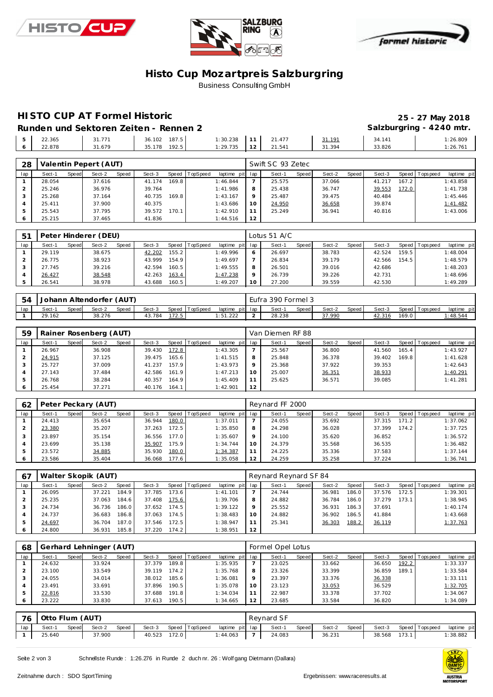





#### **Histo Cup Mozartpre is Salzburgring** Business Consulting GmbH

### **HISTO CUP AT Formel Historic 25 - 27 May 2018**

#### Runden und Sektoren Zeiten - Rennen 2 **Salzburgring - 4240 mtr.**  22.365 31.771 36.102 187.5 1:30.238 22.878 31.679 35.178 192.5 11 21.477 **31.191** 34.141 1:26.809<br>12 21.541 31.394 33.826 1:26.761 :26.761

| 28            |        |       | Valentin Pepert (AUT) |       |        |       |          |             |     | Swift SC 93 Zetec |       |        |       |        |       |                 |             |
|---------------|--------|-------|-----------------------|-------|--------|-------|----------|-------------|-----|-------------------|-------|--------|-------|--------|-------|-----------------|-------------|
| lap           | Sect-1 | Speed | Sect-2                | Speed | Sect-3 | Speed | TopSpeed | laptime pit | lap | Sect-1            | Speed | Sect-2 | Speed | Sect-3 |       | Speed Tops peed | laptime pit |
|               | 28.054 |       | 37.616                |       | 41.174 | 169.8 |          | 1:46.844    |     | 25.575            |       | 37.066 |       | 41.217 | 167.2 |                 | 1:43.858    |
|               | 25.246 |       | 36.976                |       | 39.764 |       |          | 1:41.986    | 8   | 25.438            |       | 36.747 |       | 39.553 | 172.0 |                 | 1:41.738    |
|               | 25.268 |       | 37.164                |       | 40.735 | 169.8 |          | 1:43.167    | Q   | 25.487            |       | 39.475 |       | 40.484 |       |                 | 1:45.446    |
|               | 25.411 |       | 37.900                |       | 40.375 |       |          | 1:43.686    | 10  | 24.950            |       | 36.658 |       | 39.874 |       |                 | 1:41.482    |
| $\mathcal{D}$ | 25.543 |       | 37.795                |       | 39.572 | 170.1 |          | 1:42.910    |     | 25.249            |       | 36.941 |       | 40.816 |       |                 | 1:43.006    |
| O             | 25.215 |       | 37.465                |       | 41.836 |       |          | 1:44.516    | 12  |                   |       |        |       |        |       |                 |             |

| -51 |        |       | Peter Hinderer (DEU) |              |        |       |          |                 |         | Lotus 51 A/C |       |        |       |        |       |                |             |
|-----|--------|-------|----------------------|--------------|--------|-------|----------|-----------------|---------|--------------|-------|--------|-------|--------|-------|----------------|-------------|
| lap | Sect-1 | Speed | Sect-2               | <b>Speed</b> | Sect-3 | Speed | TopSpeed | laptime pit lap |         | Sect-1       | Speed | Sect-2 | Speed | Sect-3 |       | Speed Topspeed | laptime pit |
|     | 29.119 |       | 38.675               |              | 42.202 | 155.2 |          | 1:49.996        | 6       | 26.697       |       | 38.783 |       | 42.524 | 159.5 |                | 1:48.004    |
|     | 26.775 |       | 38.923               |              | 43.999 | 154.9 |          | 1:49.697        |         | 26.834       |       | 39.179 |       | 42.566 | 154.5 |                | 1:48.579    |
|     | 27.745 |       | 39.216               |              | 42.594 | 160.5 |          | 1:49.555        | 8       | 26.501       |       | 39.016 |       | 42.686 |       |                | 1:48.203    |
|     | 26.427 |       | 38.548               |              | 42.263 | 163.4 |          | 1:47.238        | $\circ$ | 26.739       |       | 39.226 |       | 42.731 |       |                | 1:48.696    |
|     | 26.541 |       | 38.978               |              | 43.688 | 160.5 |          | 1:49.207        | 10      | 27.200       |       | 39.559 |       | 42.530 |       |                | 1:49.289    |

| 54  | Johann Altendorfer (AUT) |        |        |       |        |       |                |                 | Eufra 390 Formel 3 |       |        |       |        |       |                |             |
|-----|--------------------------|--------|--------|-------|--------|-------|----------------|-----------------|--------------------|-------|--------|-------|--------|-------|----------------|-------------|
| lap | Sect-                    | Speedl | Sect-2 | Speed | Sect-3 |       | Speed TopSpeed | laptime pit lap | Sect-1             | Speed | Sect-2 | Speed | Sect-3 |       | Speed Topspeed | laptime pit |
|     | 29.<br>-162              |        | 38.276 |       | 43.784 | 172.5 |                | : 51.222        | 28.238             |       | 37.990 |       | 42.316 | 169.0 |                | 48.544      |

| 59  |        |       | Rainer Rosenberg (AUT) |       |        |       |          |                 |         | Van Diemen RF 88 |       |        |         |        |       |                 |             |
|-----|--------|-------|------------------------|-------|--------|-------|----------|-----------------|---------|------------------|-------|--------|---------|--------|-------|-----------------|-------------|
| lap | Sect-1 | Speed | Sect-2                 | Speed | Sect-3 | Speed | TopSpeed | laptime pit lap |         | Sect-1           | Speed | Sect-2 | Speed ! | Sect-3 |       | Speed Tops peed | laptime pit |
|     | 26.967 |       | 36.908                 |       | 39.430 | 172.8 |          | 1:43.305        |         | 25.567           |       | 36.800 |         | 41.560 | 165.4 |                 | 1:43.927    |
|     | 24.915 |       | 37.125                 |       | 39.475 | 165.6 |          | 1:41.515        | 8       | 25.848           |       | 36.378 |         | 39.402 | 169.8 |                 | 1:41.628    |
|     | 25.727 |       | 37.009                 |       | 41.237 | 157.9 |          | 1:43.973        | $\circ$ | 25.368           |       | 37.922 |         | 39.353 |       |                 | 1:42.643    |
|     | 27.143 |       | 37.484                 |       | 42.586 | 161.9 |          | 1:47.213        | 10      | 25.007           |       | 36.351 |         | 38.933 |       |                 | 1:40.291    |
|     | 26.768 |       | 38.284                 |       | 40.357 | 164.9 |          | 1:45.409        |         | 25.625           |       | 36.571 |         | 39.085 |       |                 | 1:41.281    |
|     | 25.454 |       | 37.271                 |       | 40.176 | 164.1 |          | 1:42.901        | 12      |                  |       |        |         |        |       |                 |             |

| 62            | Peter Peckary (AUT) |       |        |       |        |       |                | Reynard FF 2000 |         |        |       |        |       |        |        |                 |             |  |
|---------------|---------------------|-------|--------|-------|--------|-------|----------------|-----------------|---------|--------|-------|--------|-------|--------|--------|-----------------|-------------|--|
| lap           | Sect-1              | Speed | Sect-2 | Speed | Sect-3 |       | Speed TopSpeed | laptime pit lap |         | Sect-1 | Speed | Sect-2 | Speed | Sect-3 |        | Speed Tops peed | laptime pit |  |
|               | 24.413              |       | 35.654 |       | 36.944 | 180.0 |                | 1:37.011        |         | 24.055 |       | 35.692 |       | 37.315 | 171.2  |                 | 1:37.062    |  |
|               | 23.380              |       | 35.207 |       | 37.263 | 172.5 |                | 1:35.850        | 8       | 24.298 |       | 36.028 |       | 37.399 | 174.21 |                 | 1:37.725    |  |
| 3             | 23.897              |       | 35.154 |       | 36.556 | 177.0 |                | 1:35.607        | $\circ$ | 24.100 |       | 35.620 |       | 36.852 |        |                 | 1:36.572    |  |
| 4             | 23.699              |       | 35.138 |       | 35.907 | 175.9 |                | 1:34.744        | 10      | 24.379 |       | 35.568 |       | 36.535 |        |                 | 1:36.482    |  |
| $\mathcal{P}$ | 23.572              |       | 34.885 |       | 35.930 | 180.0 |                | 1:34.387        |         | 24.225 |       | 35.336 |       | 37.583 |        |                 | 1:37.144    |  |
| 6             | 23.586              |       | 35.404 |       | 36.068 | 177.6 |                | 1:35.058        | 12      | 24.259 |       | 35.258 |       | 37.224 |        |                 | 1:36.741    |  |

| -67 | Walter Skopik (AUT) |       |        |       |        |       |                |                 |    | Reynard Reynard SF 84 |       |        |       |        |       |                |             |
|-----|---------------------|-------|--------|-------|--------|-------|----------------|-----------------|----|-----------------------|-------|--------|-------|--------|-------|----------------|-------------|
| lap | Sect-1              | Speed | Sect-2 | Speed | Sect-3 |       | Speed TopSpeed | laptime pit lap |    | Sect-1                | Speed | Sect-2 | Speed | Sect-3 |       | Speed Topspeed | laptime pit |
|     | 26.095              |       | 37.221 | 184.9 | 37.785 | 173.6 |                | 1:41.101        |    | 24.744                |       | 36.981 | 186.0 | 37.576 | 172.5 |                | 1:39.301    |
|     | 25.235              |       | 37.063 | 184.6 | 37.408 | 175.6 |                | 1:39.706        |    | 24.882                |       | 36.784 | 186.0 | 37.279 | 173.1 |                | 1:38.945    |
|     | 24.734              |       | 36.736 | 186.0 | 37.652 | 174.5 |                | 1:39.122        |    | 25.552                |       | 36.931 | 186.3 | 37.691 |       |                | 1:40.174    |
| 4   | 24.737              |       | 36.683 | 186.8 | 37.063 | 174.5 |                | 1:38.483        | 10 | 24.882                |       | 36.902 | 186.5 | 41.884 |       |                | 1:43.668    |
|     | 24.697              |       | 36.704 | 187.0 | 37.546 | 172.5 |                | 1:38.947        |    | 25.341                |       | 36.303 | 188.2 | 36.119 |       |                | 1:37.763    |
| O   | 24.800              |       | 36.931 | 185.8 | 37.220 | 174.2 |                | 1:38.951        | 12 |                       |       |        |       |        |       |                |             |

| 68  | Gerhard Lehninger (AUT) |       |        |       |        |       |                |                 | Formel Opel Lotus |        |         |        |              |        |       |                |             |  |
|-----|-------------------------|-------|--------|-------|--------|-------|----------------|-----------------|-------------------|--------|---------|--------|--------------|--------|-------|----------------|-------------|--|
| lap | Sect-1                  | Speed | Sect-2 | Speed | Sect-3 |       | Speed TopSpeed | laptime pit lap |                   | Sect-1 | Speed I | Sect-2 | <b>Speed</b> | Sect-3 |       | Speed Topspeed | laptime pit |  |
|     | 24.632                  |       | 33.924 |       | 37.379 | 189.8 |                | 1:35.935        |                   | 23.025 |         | 33.662 |              | 36.650 | 192.2 |                | 1:33.337    |  |
|     | 23.100                  |       | 33.549 |       | 39.119 | 174.2 |                | 1:35.768        | 8                 | 23.326 |         | 33.399 |              | 36.859 | 189.1 |                | 1:33.584    |  |
|     | 24.055                  |       | 34.014 |       | 38.012 | 185.6 |                | 1:36.081        | $\circ$           | 23.397 |         | 33.376 |              | 36.338 |       |                | 1:33.111    |  |
|     | 23.491                  |       | 33.691 |       | 37.896 | 190.5 |                | 1:35.078        |                   | 23.123 |         | 33.053 |              | 36.529 |       |                | 1:32.705    |  |
| 5   | 22.816                  |       | 33.530 |       | 37.688 | 191.8 |                | 1:34.034        |                   | 22.987 |         | 33.378 |              | 37.702 |       |                | 1:34.067    |  |
| 6   | 23.222                  |       | 33.830 |       | 37.613 | 190.5 |                | 1:34.665        | 12                | 23.685 |         | 33.584 |              | 36.820 |       |                | 1:34.089    |  |

| 76  |        | Otto Flum (AUT) |        |       |        |           |                |                 |  | Revnard SF |       |        |       |        |       |                   |             |
|-----|--------|-----------------|--------|-------|--------|-----------|----------------|-----------------|--|------------|-------|--------|-------|--------|-------|-------------------|-------------|
| lap | Sect-' | <b>Speed</b>    | Sect-2 | Speed | Sect-3 |           | Speed TopSpeed | laptime pit lap |  | Sect-1     | Speed | Sect-2 | Speed | Sect-3 |       | Speed   Tops peed | laptime pit |
|     | 25.640 |                 | 37.900 |       | 40.523 | $172.0$ 1 |                | : 44.063        |  | 24.083     |       | 36.231 |       | 38.568 | 173.1 |                   | : 38.882    |